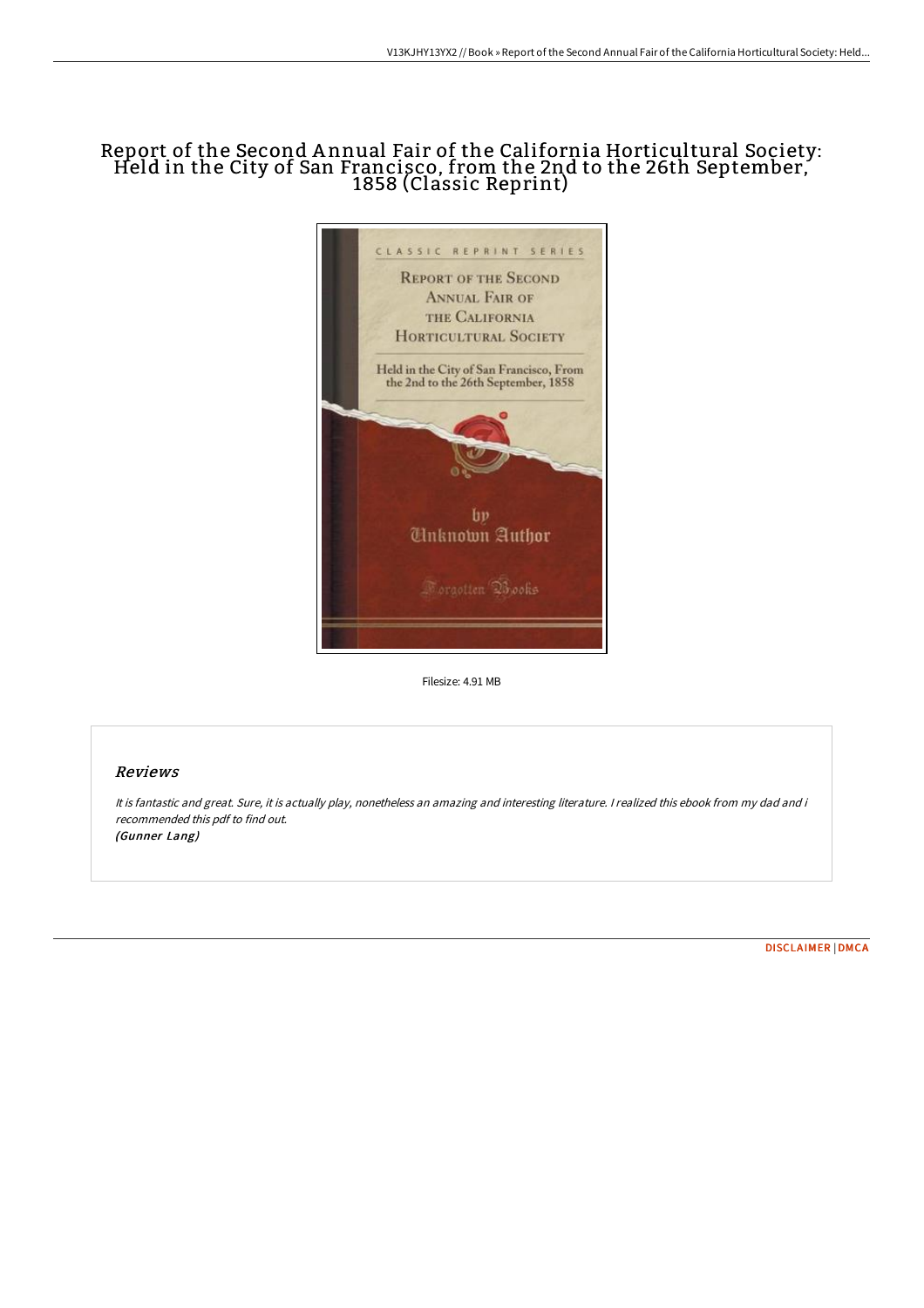## Report of the Second A nnual Fair of the California Horticultural Society: Held in the City of San Francisco, from the 2nd to the 26th September, 1858 (Classic Reprint)



Filesize: 4.91 MB

## Reviews

It is fantastic and great. Sure, it is actually play, nonetheless an amazing and interesting literature. <sup>I</sup> realized this ebook from my dad and i recommended this pdf to find out. (Gunner Lang)

[DISCLAIMER](http://techno-pub.tech/disclaimer.html) | [DMCA](http://techno-pub.tech/dmca.html)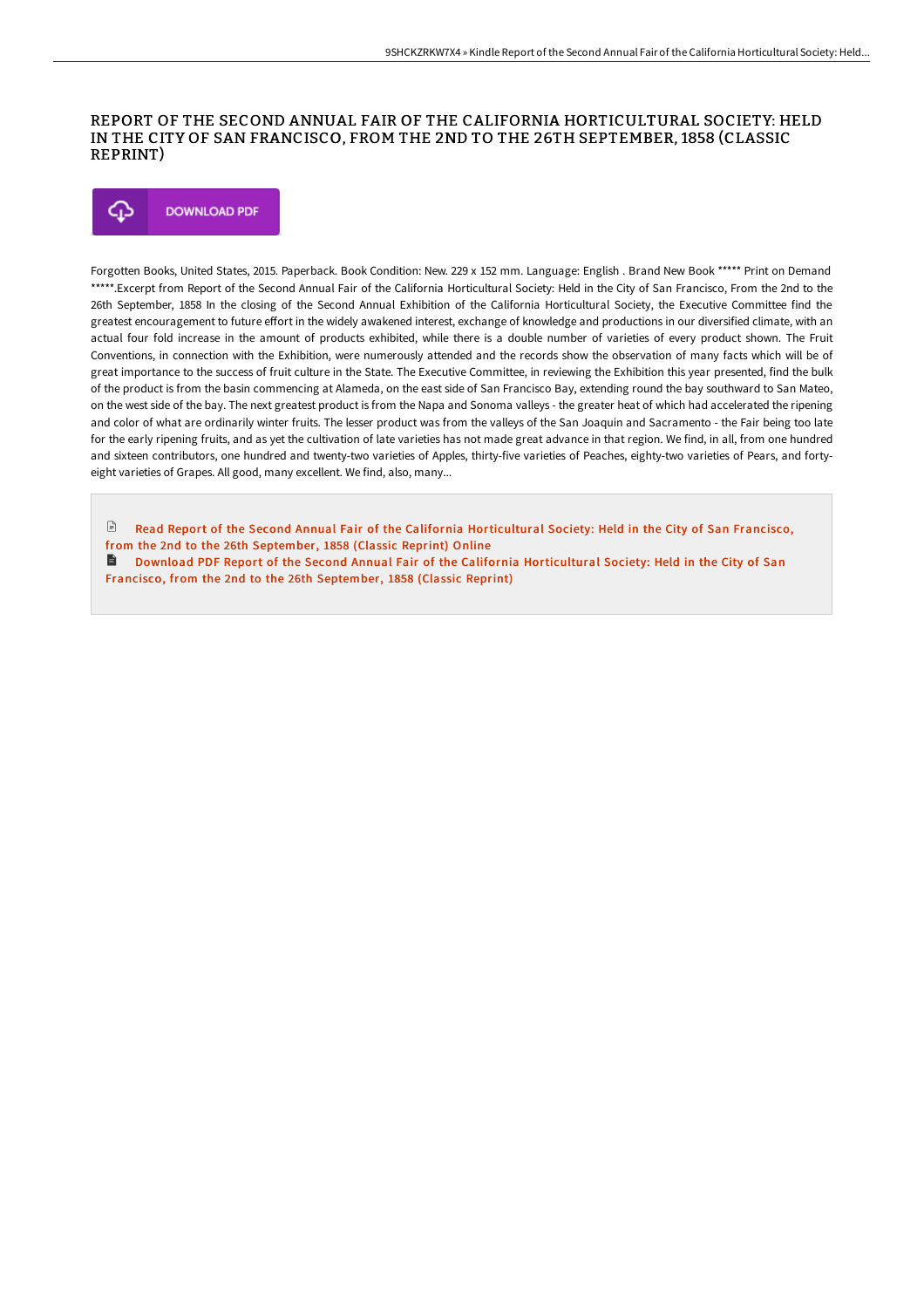## REPORT OF THE SECOND ANNUAL FAIR OF THE CALIFORNIA HORTICULTURAL SOCIETY: HELD IN THE CITY OF SAN FRANCISCO, FROM THE 2ND TO THE 26TH SEPTEMBER, 1858 (CLASSIC REPRINT)



Forgotten Books, United States, 2015. Paperback. Book Condition: New. 229 x 152 mm. Language: English . Brand New Book \*\*\*\*\* Print on Demand \*\*\*\*\*.Excerpt from Report of the Second Annual Fair of the California Horticultural Society: Held in the City of San Francisco, From the 2nd to the 26th September, 1858 In the closing of the Second Annual Exhibition of the California Horticultural Society, the Executive Committee find the greatest encouragement to future effort in the widely awakened interest, exchange of knowledge and productions in our diversified climate, with an actual four fold increase in the amount of products exhibited, while there is a double number of varieties of every product shown. The Fruit Conventions, in connection with the Exhibition, were numerously attended and the records show the observation of many facts which will be of great importance to the success of fruit culture in the State. The Executive Committee, in reviewing the Exhibition this year presented, find the bulk of the product is from the basin commencing at Alameda, on the east side of San Francisco Bay, extending round the bay southward to San Mateo, on the west side of the bay. The next greatest product is from the Napa and Sonoma valleys - the greater heat of which had accelerated the ripening and color of what are ordinarily winter fruits. The lesser product was from the valleys of the San Joaquin and Sacramento - the Fair being too late for the early ripening fruits, and as yet the cultivation of late varieties has not made great advance in that region. We find, in all, from one hundred and sixteen contributors, one hundred and twenty-two varieties of Apples, thirty-five varieties of Peaches, eighty-two varieties of Pears, and fortyeight varieties of Grapes. All good, many excellent. We find, also, many...

 $\mathbb{R}$ Read Report of the Second Annual Fair of the California [Horticultural](http://techno-pub.tech/report-of-the-second-annual-fair-of-the-californ.html) Society: Held in the City of San Francisco, from the 2nd to the 26th September, 1858 (Classic Reprint) Online

**■** Download PDF Report of the Second Annual Fair of the California [Horticultural](http://techno-pub.tech/report-of-the-second-annual-fair-of-the-californ.html) Society: Held in the City of San Francisco, from the 2nd to the 26th September, 1858 (Classic Reprint)